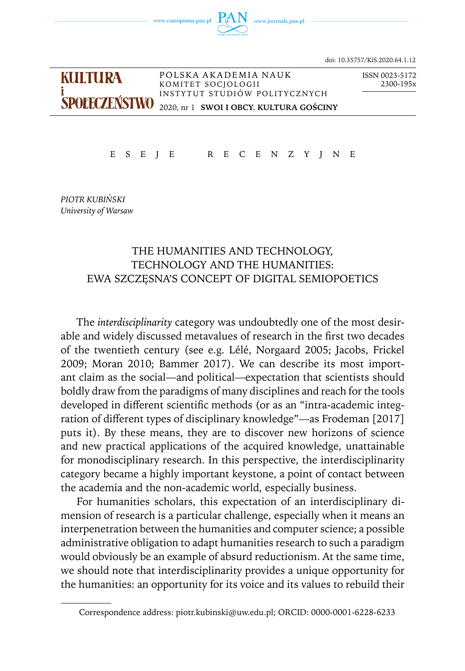

doi: 10.35757/KiS.2020.64.1.12

KULTURA P O L S K A A K A D EM I A N AU K ISSN 0023-5172 KOMITET SOCJOLOGII IN STYTUT STUDIÓW POLITYCZNYCH **SPOIFCZENSTWO** 2020, nr 1 **SWOI I OBCY, KULTURA GOŚCINY** 

E S E J E R E C E N Z Y J N E

*PIOTR KUBIŃSKI University of Warsaw*

# THE HUMANITIES AND TECHNOLOGY, TECHNOLOGY AND THE HUMANITIES: EWA SZCZĘSNA'S CONCEPT OF DIGITAL SEMIOPOETICS

The *interdisciplinarity* category was undoubtedly one of the most desirable and widely discussed metavalues of research in the first two decades of the twentieth century (see e.g. Lélé, Norgaard 2005; Jacobs, Frickel 2009; Moran 2010; Bammer 2017). We can describe its most important claim as the social—and political—expectation that scientists should boldly draw from the paradigms of many disciplines and reach for the tools developed in different scientific methods (or as an "intra-academic integration of different types of disciplinary knowledge"—as Frodeman [2017] puts it). By these means, they are to discover new horizons of science and new practical applications of the acquired knowledge, unattainable for monodisciplinary research. In this perspective, the interdisciplinarity category became a highly important keystone, a point of contact between the academia and the non-academic world, especially business.

For humanities scholars, this expectation of an interdisciplinary dimension of research is a particular challenge, especially when it means an interpenetration between the humanities and computer science; a possible administrative obligation to adapt humanities research to such a paradigm would obviously be an example of absurd reductionism. At the same time, we should note that interdisciplinarity provides a unique opportunity for the humanities: an opportunity for its voice and its values to rebuild their

Correspondence address: [piotr.kubinski@uw.edu.pl;](mailto:piotr.kubinski@uw.edu.pl) ORCID: 0000-0001-6228-6233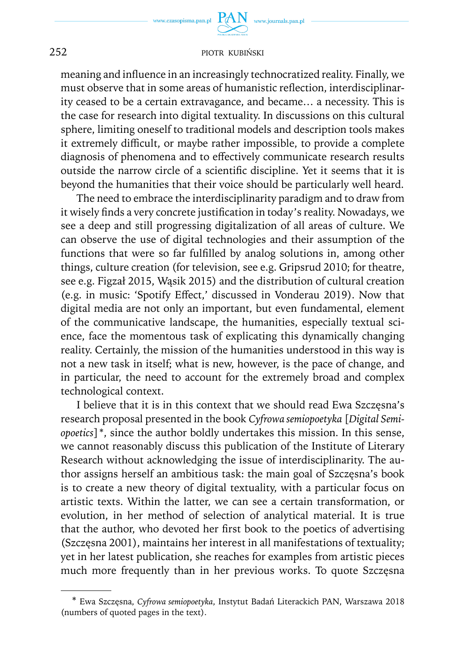meaning and influence in an increasingly technocratized reality. Finally, we must observe that in some areas of humanistic reflection, interdisciplinarity ceased to be a certain extravagance, and became… a necessity. This is the case for research into digital textuality. In discussions on this cultural sphere, limiting oneself to traditional models and description tools makes it extremely difficult, or maybe rather impossible, to provide a complete diagnosis of phenomena and to effectively communicate research results outside the narrow circle of a scientific discipline. Yet it seems that it is beyond the humanities that their voice should be particularly well heard.

The need to embrace the interdisciplinarity paradigm and to draw from it wisely finds a very concrete justification in today's reality. Nowadays, we see a deep and still progressing digitalization of all areas of culture. We can observe the use of digital technologies and their assumption of the functions that were so far fulfilled by analog solutions in, among other things, culture creation (for television, see e.g. Gripsrud 2010; for theatre, see e.g. Figzał 2015, Wąsik 2015) and the distribution of cultural creation (e.g. in music: 'Spotify Effect,' discussed in Vonderau 2019). Now that digital media are not only an important, but even fundamental, element of the communicative landscape, the humanities, especially textual science, face the momentous task of explicating this dynamically changing reality. Certainly, the mission of the humanities understood in this way is not a new task in itself; what is new, however, is the pace of change, and in particular, the need to account for the extremely broad and complex technological context.

I believe that it is in this context that we should read Ewa Szczęsna's research proposal presented in the book *Cyfrowa semiopoetyka* [*Digital Semiopoetics*]\*, since the author boldly undertakes this mission. In this sense, we cannot reasonably discuss this publication of the Institute of Literary Research without acknowledging the issue of interdisciplinarity. The author assigns herself an ambitious task: the main goal of Szczęsna's book is to create a new theory of digital textuality, with a particular focus on artistic texts. Within the latter, we can see a certain transformation, or evolution, in her method of selection of analytical material. It is true that the author, who devoted her first book to the poetics of advertising (Szczęsna 2001), maintains her interest in all manifestations of textuality; yet in her latest publication, she reaches for examples from artistic pieces much more frequently than in her previous works. To quote Szczęsna

<sup>\*</sup> Ewa Szczęsna, *Cyfrowa semiopoetyka*, Instytut Badań Literackich PAN, Warszawa 2018 (numbers of quoted pages in the text).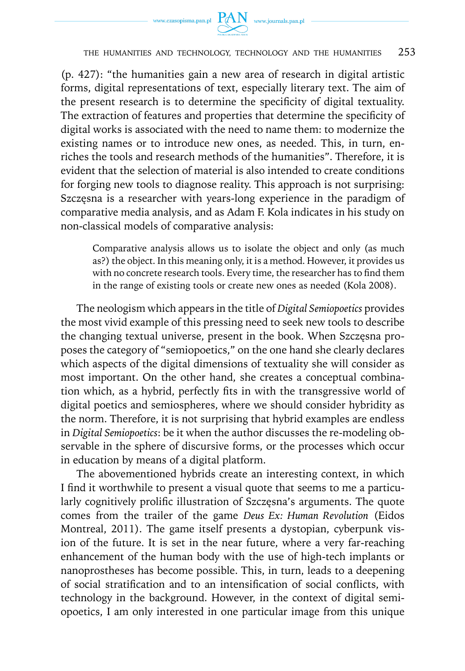



#### THE HUMANITIES AND TECHNOLOGY, TECHNOLOGY AND THE HUMANITIES 253

(p. 427): "the humanities gain a new area of research in digital artistic forms, digital representations of text, especially literary text. The aim of the present research is to determine the specificity of digital textuality. The extraction of features and properties that determine the specificity of digital works is associated with the need to name them: to modernize the existing names or to introduce new ones, as needed. This, in turn, enriches the tools and research methods of the humanities". Therefore, it is evident that the selection of material is also intended to create conditions for forging new tools to diagnose reality. This approach is not surprising: Szczęsna is a researcher with years-long experience in the paradigm of comparative media analysis, and as Adam F. Kola indicates in his study on non-classical models of comparative analysis:

Comparative analysis allows us to isolate the object and only (as much as?) the object. In this meaning only, it is a method. However, it provides us with no concrete research tools. Every time, the researcher has to find them in the range of existing tools or create new ones as needed (Kola 2008).

The neologism which appears in the title of *Digital Semiopoetics* provides the most vivid example of this pressing need to seek new tools to describe the changing textual universe, present in the book. When Szczęsna proposes the category of "semiopoetics," on the one hand she clearly declares which aspects of the digital dimensions of textuality she will consider as most important. On the other hand, she creates a conceptual combination which, as a hybrid, perfectly fits in with the transgressive world of digital poetics and semiospheres, where we should consider hybridity as the norm. Therefore, it is not surprising that hybrid examples are endless in *Digital Semiopoetics*: be it when the author discusses the re-modeling observable in the sphere of discursive forms, or the processes which occur in education by means of a digital platform.

The abovementioned hybrids create an interesting context, in which I find it worthwhile to present a visual quote that seems to me a particularly cognitively prolific illustration of Szczęsna's arguments. The quote comes from the trailer of the game *Deus Ex: Human Revolution* (Eidos Montreal, 2011). The game itself presents a dystopian, cyberpunk vision of the future. It is set in the near future, where a very far-reaching enhancement of the human body with the use of high-tech implants or nanoprostheses has become possible. This, in turn, leads to a deepening of social stratification and to an intensification of social conflicts, with technology in the background. However, in the context of digital semiopoetics, I am only interested in one particular image from this unique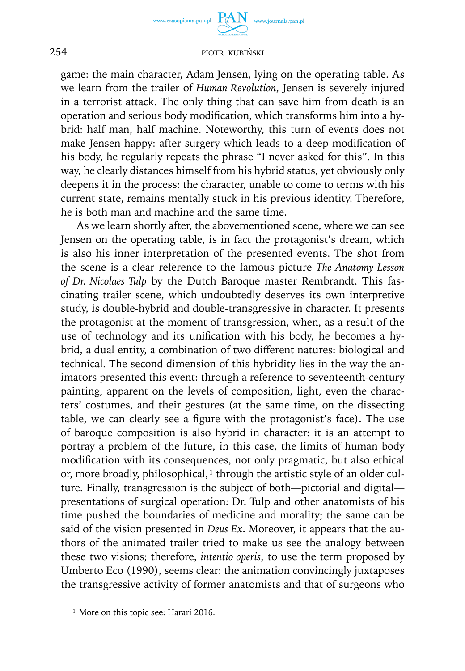

game: the main character, Adam Jensen, lying on the operating table. As we learn from the trailer of *Human Revolution*, Jensen is severely injured in a terrorist attack. The only thing that can save him from death is an operation and serious body modification, which transforms him into a hybrid: half man, half machine. Noteworthy, this turn of events does not make Jensen happy: after surgery which leads to a deep modification of his body, he regularly repeats the phrase "I never asked for this". In this way, he clearly distances himself from his hybrid status, yet obviously only deepens it in the process: the character, unable to come to terms with his current state, remains mentally stuck in his previous identity. Therefore, he is both man and machine and the same time.

As we learn shortly after, the abovementioned scene, where we can see Jensen on the operating table, is in fact the protagonist's dream, which is also his inner interpretation of the presented events. The shot from the scene is a clear reference to the famous picture *The Anatomy Lesson of Dr. Nicolaes Tulp* by the Dutch Baroque master Rembrandt. This fascinating trailer scene, which undoubtedly deserves its own interpretive study, is double-hybrid and double-transgressive in character. It presents the protagonist at the moment of transgression, when, as a result of the use of technology and its unification with his body, he becomes a hybrid, a dual entity, a combination of two different natures: biological and technical. The second dimension of this hybridity lies in the way the animators presented this event: through a reference to seventeenth-century painting, apparent on the levels of composition, light, even the characters' costumes, and their gestures (at the same time, on the dissecting table, we can clearly see a figure with the protagonist's face). The use of baroque composition is also hybrid in character: it is an attempt to portray a problem of the future, in this case, the limits of human body modification with its consequences, not only pragmatic, but also ethical or, more broadly, philosophical,<sup>1</sup> through the artistic style of an older culture. Finally, transgression is the subject of both—pictorial and digital presentations of surgical operation: Dr. Tulp and other anatomists of his time pushed the boundaries of medicine and morality; the same can be said of the vision presented in *Deus Ex*. Moreover, it appears that the authors of the animated trailer tried to make us see the analogy between these two visions; therefore, *intentio operis*, to use the term proposed by Umberto Eco (1990), seems clear: the animation convincingly juxtaposes the transgressive activity of former anatomists and that of surgeons who

<sup>&</sup>lt;sup>1</sup> More on this topic see: Harari 2016.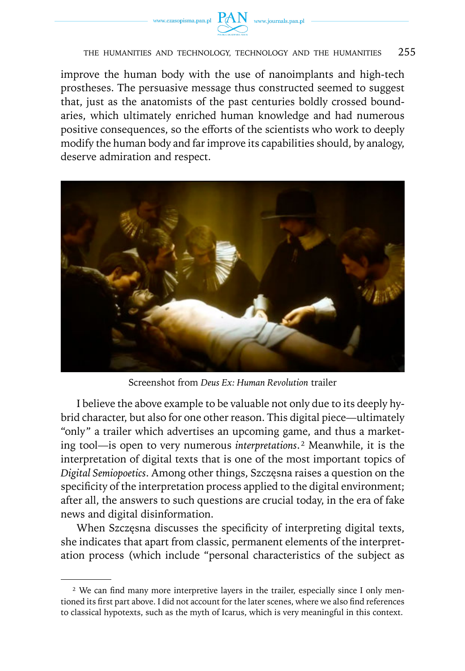



## THE HUMANITIES AND TECHNOLOGY, TECHNOLOGY AND THE HUMANITIES 255

improve the human body with the use of nanoimplants and high-tech prostheses. The persuasive message thus constructed seemed to suggest that, just as the anatomists of the past centuries boldly crossed boundaries, which ultimately enriched human knowledge and had numerous positive consequences, so the efforts of the scientists who work to deeply modify the human body and far improve its capabilities should, by analogy, deserve admiration and respect.



Screenshot from *Deus Ex: Human Revolution* trailer

I believe the above example to be valuable not only due to its deeply hybrid character, but also for one other reason. This digital piece—ultimately "only" a trailer which advertises an upcoming game, and thus a marketing tool—is open to very numerous *interpretations*. ² Meanwhile, it is the interpretation of digital texts that is one of the most important topics of *Digital Semiopoetics*. Among other things, Szczęsna raises a question on the specificity of the interpretation process applied to the digital environment; after all, the answers to such questions are crucial today, in the era of fake news and digital disinformation.

When Szczęsna discusses the specificity of interpreting digital texts, she indicates that apart from classic, permanent elements of the interpretation process (which include "personal characteristics of the subject as

<sup>&</sup>lt;sup>2</sup> We can find many more interpretive layers in the trailer, especially since I only mentioned its first part above. I did not account for the later scenes, where we also find references to classical hypotexts, such as the myth of Icarus, which is very meaningful in this context.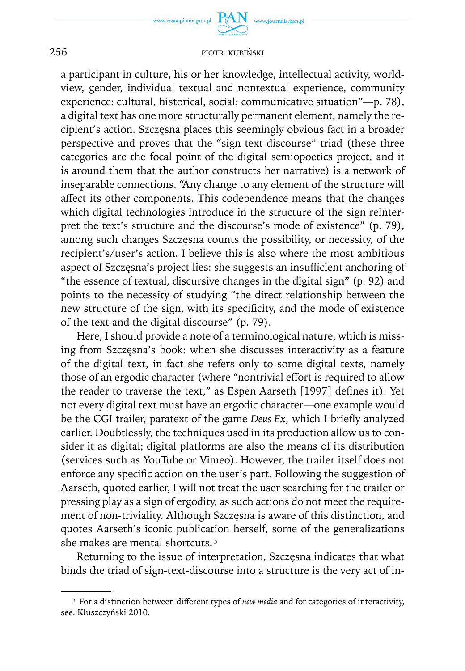a participant in culture, his or her knowledge, intellectual activity, worldview, gender, individual textual and nontextual experience, community experience: cultural, historical, social; communicative situation"—p. 78), a digital text has one more structurally permanent element, namely the recipient's action. Szczęsna places this seemingly obvious fact in a broader perspective and proves that the "sign-text-discourse" triad (these three categories are the focal point of the digital semiopoetics project, and it is around them that the author constructs her narrative) is a network of inseparable connections. "Any change to any element of the structure will affect its other components. This codependence means that the changes which digital technologies introduce in the structure of the sign reinterpret the text's structure and the discourse's mode of existence" (p. 79); among such changes Szczęsna counts the possibility, or necessity, of the recipient's/user's action. I believe this is also where the most ambitious aspect of Szczęsna's project lies: she suggests an insufficient anchoring of "the essence of textual, discursive changes in the digital sign" (p. 92) and points to the necessity of studying "the direct relationship between the new structure of the sign, with its specificity, and the mode of existence of the text and the digital discourse" (p. 79).

Here, I should provide a note of a terminological nature, which is missing from Szczęsna's book: when she discusses interactivity as a feature of the digital text, in fact she refers only to some digital texts, namely those of an ergodic character (where "nontrivial effort is required to allow the reader to traverse the text," as Espen Aarseth [1997] defines it). Yet not every digital text must have an ergodic character—one example would be the CGI trailer, paratext of the game *Deus Ex*, which I briefly analyzed earlier. Doubtlessly, the techniques used in its production allow us to consider it as digital; digital platforms are also the means of its distribution (services such as YouTube or Vimeo). However, the trailer itself does not enforce any specific action on the user's part. Following the suggestion of Aarseth, quoted earlier, I will not treat the user searching for the trailer or pressing play as a sign of ergodity, as such actions do not meet the requirement of non-triviality. Although Szczęsna is aware of this distinction, and quotes Aarseth's iconic publication herself, some of the generalizations she makes are mental shortcuts.<sup>3</sup>

Returning to the issue of interpretation, Szczęsna indicates that what binds the triad of sign-text-discourse into a structure is the very act of in-

³ For a distinction between different types of *new media* and for categories of interactivity, see: Kluszczyński 2010.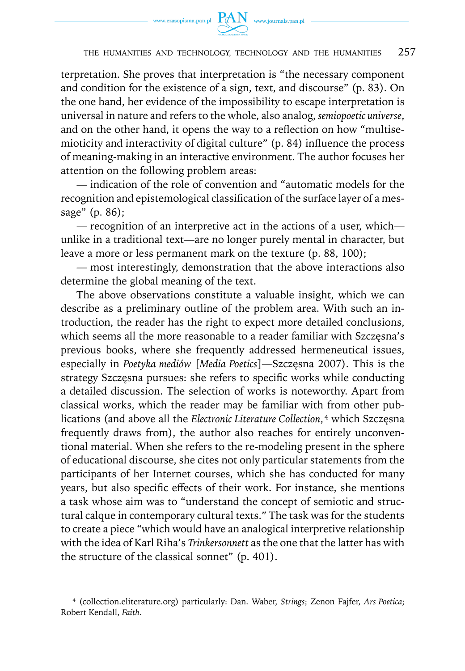

terpretation. She proves that interpretation is "the necessary component and condition for the existence of a sign, text, and discourse" (p. 83). On the one hand, her evidence of the impossibility to escape interpretation is universal in nature and refers to the whole, also analog, *semiopoetic universe*, and on the other hand, it opens the way to a reflection on how "multisemioticity and interactivity of digital culture" (p. 84) influence the process of meaning-making in an interactive environment. The author focuses her attention on the following problem areas:

— indication of the role of convention and "automatic models for the recognition and epistemological classification of the surface layer of a message" (p. 86);

— recognition of an interpretive act in the actions of a user, which unlike in a traditional text—are no longer purely mental in character, but leave a more or less permanent mark on the texture (p. 88, 100);

— most interestingly, demonstration that the above interactions also determine the global meaning of the text.

The above observations constitute a valuable insight, which we can describe as a preliminary outline of the problem area. With such an introduction, the reader has the right to expect more detailed conclusions, which seems all the more reasonable to a reader familiar with Szczęsna's previous books, where she frequently addressed hermeneutical issues, especially in *Poetyka mediów* [*Media Poetics*]—Szczęsna 2007). This is the strategy Szczęsna pursues: she refers to specific works while conducting a detailed discussion. The selection of works is noteworthy. Apart from classical works, which the reader may be familiar with from other publications (and above all the *Electronic Literature Collection*,<sup>4</sup> which Szczęsna frequently draws from), the author also reaches for entirely unconventional material. When she refers to the re-modeling present in the sphere of educational discourse, she cites not only particular statements from the participants of her Internet courses, which she has conducted for many years, but also specific effects of their work. For instance, she mentions a task whose aim was to "understand the concept of semiotic and structural calque in contemporary cultural texts." The task was for the students to create a piece "which would have an analogical interpretive relationship with the idea of Karl Riha's *Trinkersonnett* as the one that the latter has with the structure of the classical sonnet" (p. 401).

⁴ [\(collection.eliterature.org](http://collection.eliterature.org)) particularly: Dan. Waber, *Strings*; Zenon Fajfer, *Ars Poetica*; Robert Kendall, *Faith*.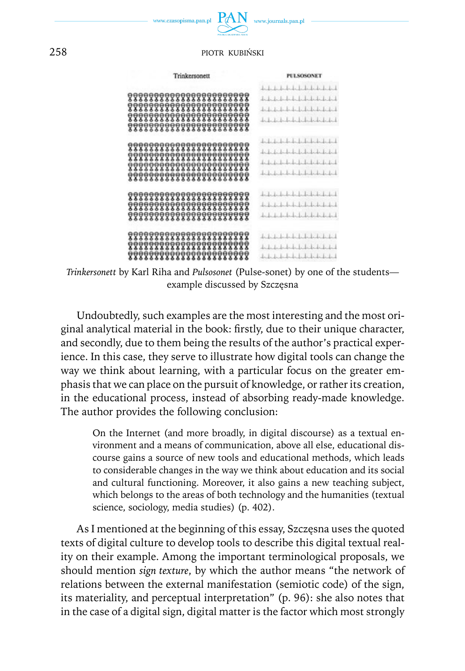

| Trinkersonett                                                                                                                    | <b>PULSOSONET</b>                                                                                                                                                                                   |
|----------------------------------------------------------------------------------------------------------------------------------|-----------------------------------------------------------------------------------------------------------------------------------------------------------------------------------------------------|
| 888888888888888888888<br>888888888888888888888<br>88888888888888888888<br>888888888888888888888                                  | <u>bala kabubata kale kale kale</u><br>1.1.1<br>The first collection of the<br>1.1.1.1.1.1.1.1.1.1.1<br>$\begin{smallmatrix} \begin{smallmatrix} 1 & 1 & 1 & 1 \end{smallmatrix} \end{smallmatrix}$ |
| 888888888888888888888<br><b>???????????????????????</b><br>888888888888888888888<br>\$\$\$\$\$\$\$\$\$\$\$\$\$\$\$\$\$\$\$\$\$\$ | 1.1.1.1<br>1.1.1.1.1.1.1.1<br>1.1<br>1, 1, 1, 1, 1, 1, 1, 1, 1, 1, 1, 1, 1                                                                                                                          |
| 88888888888888888888<br>888888888888888888888<br>777777777777777777777                                                           | 1.1.1.1.1.1.1<br>1, 1, 1, 1, 1, 1, 1, 1, 1, 1                                                                                                                                                       |
| 888888888888888888888<br>888888888888888888888<br>888888888888888888888                                                          | 1.1.1.1.1.1.1.1.1.1.1.1.1<br>1.1.1.1.1.1.1.1.1.1.1.1.1                                                                                                                                              |

*Trinkersonett* by Karl Riha and *Pulsosonet* (Pulse-sonet) by one of the students example discussed by Szczęsna

Undoubtedly, such examples are the most interesting and the most original analytical material in the book: firstly, due to their unique character, and secondly, due to them being the results of the author's practical experience. In this case, they serve to illustrate how digital tools can change the way we think about learning, with a particular focus on the greater emphasis that we can place on the pursuit of knowledge, or rather its creation, in the educational process, instead of absorbing ready-made knowledge. The author provides the following conclusion:

On the Internet (and more broadly, in digital discourse) as a textual environment and a means of communication, above all else, educational discourse gains a source of new tools and educational methods, which leads to considerable changes in the way we think about education and its social and cultural functioning. Moreover, it also gains a new teaching subject, which belongs to the areas of both technology and the humanities (textual science, sociology, media studies) (p. 402).

As I mentioned at the beginning of this essay, Szczęsna uses the quoted texts of digital culture to develop tools to describe this digital textual reality on their example. Among the important terminological proposals, we should mention *sign texture*, by which the author means "the network of relations between the external manifestation (semiotic code) of the sign, its materiality, and perceptual interpretation" (p. 96): she also notes that in the case of a digital sign, digital matter is the factor which most strongly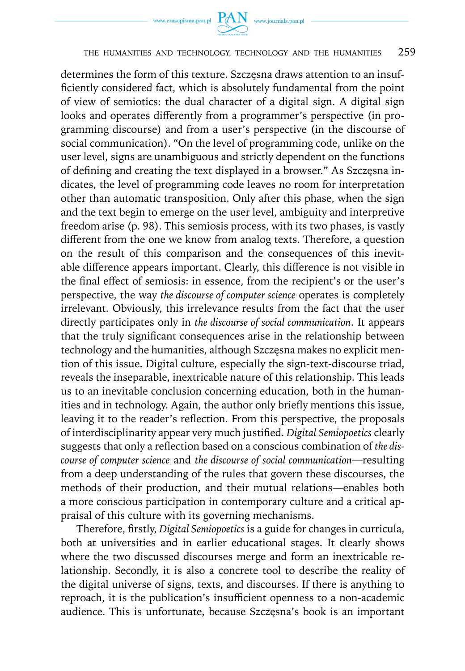



## THE HUMANITIES AND TECHNOLOGY, TECHNOLOGY AND THE HUMANITIES 259

determines the form of this texture. Szczęsna draws attention to an insufficiently considered fact, which is absolutely fundamental from the point of view of semiotics: the dual character of a digital sign. A digital sign looks and operates differently from a programmer's perspective (in programming discourse) and from a user's perspective (in the discourse of social communication). "On the level of programming code, unlike on the user level, signs are unambiguous and strictly dependent on the functions of defining and creating the text displayed in a browser." As Szczęsna indicates, the level of programming code leaves no room for interpretation other than automatic transposition. Only after this phase, when the sign and the text begin to emerge on the user level, ambiguity and interpretive freedom arise (p. 98). This semiosis process, with its two phases, is vastly different from the one we know from analog texts. Therefore, a question on the result of this comparison and the consequences of this inevitable difference appears important. Clearly, this difference is not visible in the final effect of semiosis: in essence, from the recipient's or the user's perspective, the way *the discourse of computer science* operates is completely irrelevant. Obviously, this irrelevance results from the fact that the user directly participates only in *the discourse of social communication*. It appears that the truly significant consequences arise in the relationship between technology and the humanities, although Szczęsna makes no explicit mention of this issue. Digital culture, especially the sign-text-discourse triad, reveals the inseparable, inextricable nature of this relationship. This leads us to an inevitable conclusion concerning education, both in the humanities and in technology. Again, the author only briefly mentions this issue, leaving it to the reader's reflection. From this perspective, the proposals of interdisciplinarity appear very much justified. *Digital Semiopoetics* clearly suggests that only a reflection based on a conscious combination of *the discourse of computer science* and *the discourse of social communication*—resulting from a deep understanding of the rules that govern these discourses, the methods of their production, and their mutual relations—enables both a more conscious participation in contemporary culture and a critical appraisal of this culture with its governing mechanisms.

Therefore, firstly, *Digital Semiopoetics* is a guide for changes in curricula, both at universities and in earlier educational stages. It clearly shows where the two discussed discourses merge and form an inextricable relationship. Secondly, it is also a concrete tool to describe the reality of the digital universe of signs, texts, and discourses. If there is anything to reproach, it is the publication's insufficient openness to a non-academic audience. This is unfortunate, because Szczęsna's book is an important